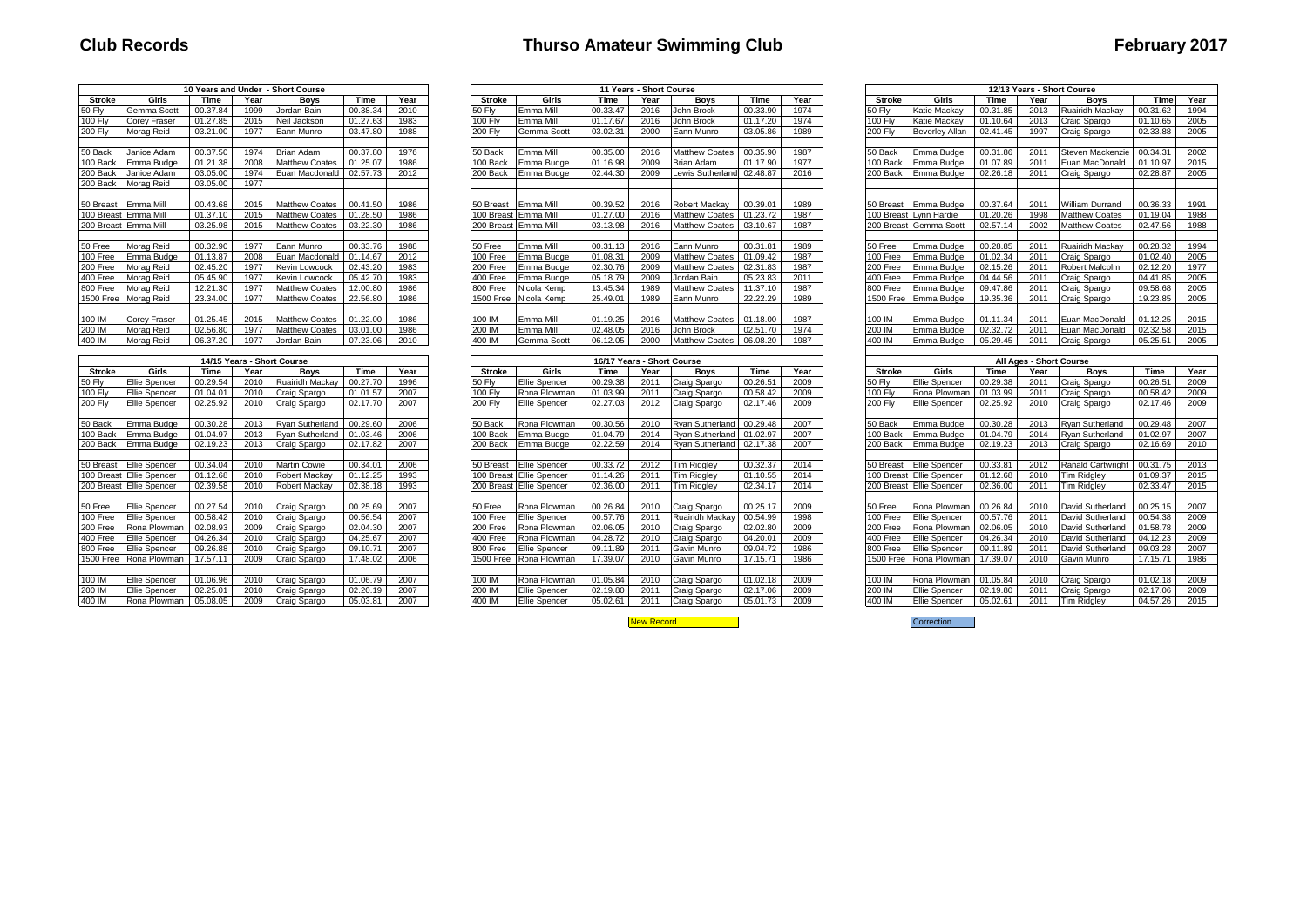# **Club Records Thurso Amateur Swimming Club February 2017**

|                  |                                        |          |                            | 10 Years and Under - Short Course |                      |              |                  |                                       |                            | 11 Years - Short Course |                              |                      |              |                  |                                |                      |      | 12/13 Years - Short Course       |                      |                                                              |
|------------------|----------------------------------------|----------|----------------------------|-----------------------------------|----------------------|--------------|------------------|---------------------------------------|----------------------------|-------------------------|------------------------------|----------------------|--------------|------------------|--------------------------------|----------------------|------|----------------------------------|----------------------|--------------------------------------------------------------|
| Stroke           | Girls                                  | Time     | Year                       | <b>Bovs</b>                       | Time                 | Year         | Stroke           | Girls                                 | Time                       | Year                    | <b>Boys</b>                  | Time                 | Year         | Stroke           | Girls                          | Time                 | Year | <b>Boys</b>                      | Time                 | Year                                                         |
| <b>50 Flv</b>    | Gemma Scott                            | 00.37.84 | 1999                       | Jordan Bain                       | 00.38.34             | 2010         | 50 Flv           | Emma Mill                             | 00.33.47                   | 2016                    | John Brock                   | 00.33.90             | 1974         | 50 Flv           | Katie Mackav                   | 00.31.85             | 2013 | <b>Ruairidh Mackav</b>           | 00.31.62             | 1994                                                         |
| <b>100 Flv</b>   | Corev Fraser                           | 01.27.85 | 2015                       | Neil Jackson                      | 01.27.63             | 1983         | <b>100 Flv</b>   | Emma Mill                             | 01.17.67                   | 2016                    | John Brock                   | 01.17.20             | 1974         | 100 Flv          | Katie Mackav                   | 01.10.64             | 2013 | Craig Spargo                     | 01.10.65             | 2005                                                         |
| <b>200 Fly</b>   | Morag Reid                             | 03.21.00 | 1977                       | Eann Munro                        | 03.47.80             | 1988         | <b>200 Flv</b>   | Gemma Scott                           | 03.02.31                   | 2000                    | Eann Munro                   | 03.05.86             | 1989         | <b>200 Flv</b>   | <b>Beverley Allan</b>          | 02.41.45             | 1997 | Craig Spargo                     | 02.33.88             | 2005                                                         |
|                  |                                        |          |                            |                                   |                      |              |                  |                                       |                            |                         |                              |                      |              |                  |                                |                      |      |                                  |                      |                                                              |
| 50 Back          | Janice Adam                            | 00.37.50 | 1974                       | <b>Brian Adam</b>                 | 00.37.80             | 1976         | 50 Back          | Emma Mill                             | 00.35.00                   | 2016                    | <b>Matthew Coates</b>        | 00.35.90             | 1987         | 50 Back          | Emma Budge                     | 00.31.86             | 2011 | Steven Mackenzie                 | 00.34.31             | 2002                                                         |
| 100 Back         | Emma Budge                             | 01.21.38 | 2008                       | <b>Matthew Coates</b>             | 01.25.07             | 1986         | 00 Back          | Emma Budge                            | 01.16.98                   | 2009                    | <b>Brian Adam</b>            | 01.17.90             | 1977         | 100 Back         | Emma Budge                     | 01.07.89             | 2011 | Euan MacDonald                   | 01.10.97             | 2015                                                         |
| 200 Back         | Janice Adam                            | 03.05.00 | 1974                       | Euan Macdonald                    | 02.57.73             | 2012         | 200 Back         | Emma Budge                            | 02.44.30                   | 2009                    | Lewis Sutherland             | 02.48.87             | 2016         | 200 Back         | Emma Budge                     | 02.26.18             | 2011 | Craig Spargo                     | 02.28.87             | 2005                                                         |
| 200 Back         | Morag Reid                             | 03.05.00 | 1977                       |                                   |                      |              |                  |                                       |                            |                         |                              |                      |              |                  |                                |                      |      |                                  |                      |                                                              |
|                  |                                        |          |                            |                                   |                      |              |                  |                                       |                            |                         |                              |                      |              |                  |                                |                      |      |                                  |                      |                                                              |
| 50 Breast        | Emma Mill                              | 00.43.68 | 2015                       | <b>Matthew Coates</b>             | 00.41.50             | 1986         |                  | 50 Breast Emma Mill                   | 00.39.52                   | 2016                    | Robert Mackav                | 00.39.01             | 1989         |                  | 50 Breast Emma Budge           | 00.37.64             | 2011 | <b>William Durrand</b>           | 00.36.33             | 1991                                                         |
|                  | 100 Breast Emma Mill                   | 01.37.10 | 2015                       | <b>Matthew Coates</b>             | 01.28.50             | 1986         |                  | 100 Breast Emma Mill                  | 01.27.00                   | 2016                    | <b>Matthew Coates</b>        | 01.23.72             | 1987         |                  | 100 Breast Lynn Hardie         | 01.20.26             | 1998 | <b>Matthew Coates</b>            | 01.19.04             | 1988                                                         |
|                  | 200 Breast Emma Mill                   | 03.25.98 | 2015                       | <b>Matthew Coates</b>             | 03.22.30             | 1986         |                  | 200 Breast I Emma Mill                | 03.13.98                   | 2016                    | <b>Matthew Coates</b>        | 03.10.67             | 1987         |                  | 200 Breast Gemma Scott         | 02.57.14             | 2002 | <b>Matthew Coates</b>            | 02.47.56             | 1988                                                         |
|                  |                                        |          |                            |                                   |                      |              |                  |                                       |                            |                         |                              |                      |              |                  |                                |                      |      |                                  |                      |                                                              |
| 50 Free          | Morag Reid                             | 00.32.90 | 1977                       | Eann Munro                        | 00.33.76             | 1988         | 50 Free          | Emma Mill                             | 00.31.13                   | 2016                    | Eann Munro                   | 00.31.81             | 1989         | 50 Free          | Emma Budge                     | 00.28.85             | 2011 | <b>Ruairidh Mackav</b>           | 00.28.32             | 1994                                                         |
| 100 Free         | Emma Budge                             | 01.13.87 | 2008                       | Euan Macdonald                    | 01.14.67             | 2012         | 100 Free         | Emma Budge                            | 01.08.31                   | 2009                    | <b>Matthew Coates</b>        | 01.09.42             | 1987         | 100 Free         | Emma Budge                     | 01.02.34             | 2011 | Craig Spargo                     | 01.02.40             | 2005                                                         |
| 200 Free         | Morag Reid                             | 02.45.20 | 1977                       | <b>Kevin Lowcock</b>              | 02.43.20             | 1983         | 200 Free         | Emma Budge                            | 02.30.76                   | 2009                    | <b>Matthew Coates</b>        | 02.31.83             | 1987         | 200 Free         | Emma Budge                     | 02.15.26             | 2011 | <b>Robert Malcolm</b>            | 02.12.20             | 1977                                                         |
| 400 Free         | Morag Reid                             | 05.45.90 | 1977                       | <b>Kevin Lowcock</b>              | 05.42.70             | 1983         | 400 Free         | Emma Budge                            | 05.18.79                   | 2009                    | Jordan Bain                  | 05.23.83             | 2011         | 400 Free         | Emma Budge                     | 04.44.56             | 2011 | Craig Spargo                     | 04.41.85             | 2005                                                         |
| 800 Free         | Morag Reid                             | 12.21.30 | 1977                       | <b>Matthew Coates</b>             | 12.00.80             | 1986         | 800 Free         | Nicola Kemp                           | 13.45.34                   | 1989                    | <b>Matthew Coates</b>        | 11.37.10             | 1987         | 800 Free         | Emma Budge                     | 09.47.86             | 2011 | Craig Spargo                     | 09.58.68             | 2005                                                         |
| 1500 Free        | Morag Reid                             | 23.34.00 | 1977                       | <b>Matthew Coates</b>             | 22.56.80             | 1986         |                  | 1500 Free Nicola Kemp                 | 25.49.01                   | 1989                    | Eann Munro                   | 22.22.29             | 1989         | 1500 Free        | Emma Budge                     | 19.35.36             | 2011 | Craig Spargo                     | 19.23.85             | 2005                                                         |
|                  |                                        |          |                            |                                   |                      |              |                  |                                       |                            |                         |                              |                      |              |                  |                                |                      |      |                                  |                      |                                                              |
| 100 IM           | <b>Corev Fraser</b>                    | 01.25.45 | 2015                       | <b>Matthew Coates</b>             | 01.22.00             | 1986         | 100 IM           | Emma Mill                             | 01.19.25                   | 2016                    | <b>Matthew Coates</b>        | 01.18.00             | 1987         | 100 IM           | Emma Budge                     | 01.11.34             | 2011 | Euan MacDonald                   | 01.12.25             | 2015                                                         |
| 200 IM           | Morag Reid                             | 02.56.80 | 1977                       | <b>Matthew Coates</b>             | 03.01.00             | 1986         | 200 IM           | Emma Mill                             | 02.48.05                   | 2016                    | John Brock                   | 02.51.70             | 1974         | 200 IM           | Emma Budge                     | 02.32.72             | 2011 | Euan MacDonald                   | 02.32.58             | 2015                                                         |
| 400 IM           | Morag Reid                             | 06.37.20 | 1977                       | Jordan Bain                       | 07.23.06             | 2010         | 400 IM           | Gemma Scott                           | 06.12.05                   | 2000                    | <b>Matthew Coates</b>        | 06.08.20             | 1987         | 400 IM           | Emma Budge                     | 05.29.45             | 2011 | Craig Spargo                     | 05.25.51             | 2005                                                         |
|                  |                                        |          |                            |                                   |                      |              |                  |                                       |                            |                         |                              |                      |              |                  |                                |                      |      |                                  |                      |                                                              |
|                  |                                        |          |                            |                                   |                      |              |                  |                                       |                            |                         |                              |                      |              |                  |                                |                      |      |                                  |                      |                                                              |
|                  |                                        |          | 14/15 Years - Short Course |                                   |                      |              |                  |                                       | 16/17 Years - Short Course |                         |                              |                      |              |                  |                                |                      |      | All Ages - Short Course          |                      |                                                              |
| Stroke           | Girls                                  | Time     | Year                       | Boys                              | Time                 | Year         | <b>Stroke</b>    | Girls                                 | Time                       | Year                    | <b>Boys</b>                  | Time                 | Year         | Stroke           | Girls                          | Time                 | Year | <b>Boys</b>                      | Time                 |                                                              |
| 50 Flv           | <b>Ellie Spencer</b>                   | 00.29.54 | 2010                       | <b>Ruairidh Mackay</b>            | 00.27.70             | 1996         | 50 Flv           | Ellie Spencer                         | 00.29.38                   | 2011                    | Craig Spargo                 | 00.26.51             | 2009         | 50 Flv           | Ellie Spencer                  | 00.29.38             | 2011 | Craig Spargo                     | 00.26.51             |                                                              |
| <b>100 Flv</b>   | Ellie Spencer                          | 01.04.01 | 2010                       | Craig Spargo                      | 01.01.57             | 2007         | 00 Flv           | Rona Plowman                          | 01.03.99                   | 2011                    | Craig Spargo                 | 00.58.42             | 2009         | 100 Flv          | Rona Plowman                   | 01.03.99             | 2011 | Craig Spargo                     | 00.58.42             |                                                              |
| <b>200 Flv</b>   | Ellie Spencer                          | 02.25.92 | 2010                       | Craig Spargo                      | 02.17.70             | 2007         | <b>200 Flv</b>   | <b>Ellie Spencer</b>                  | 02.27.03                   | 2012                    | Craig Spargo                 | 02.17.46             | 2009         | <b>200 Flv</b>   | Ellie Spencer                  | 02.25.92             | 2010 | Craig Spargo                     | 02.17.46             |                                                              |
|                  |                                        |          |                            |                                   |                      |              |                  |                                       |                            |                         |                              |                      |              |                  |                                |                      |      |                                  |                      |                                                              |
| 50 Back          | Emma Budge                             | 00.30.28 | 2013                       | <b>Rvan Sutherland</b>            | 00.29.60             | 2006         | 50 Back          | Rona Plowman                          | 00.30.56                   | 2010                    | Rvan Sutherland              | 00.29.48             | 2007         | 50 Back          | Emma Budge                     | 00.30.28             | 2013 | <b>Rvan Sutherland</b>           | 00.29.48             |                                                              |
| 100 Back         | Emma Budge                             | 01.04.97 | 2013                       | <b>Rvan Sutherland</b>            | 01.03.46             | 2006         | 00 Back          | Emma Budge                            | 01.04.79                   | 2014                    | <b>Rvan Sutherland</b>       | 01.02.97             | 2007         | 100 Back         | Emma Budge                     | 01.04.79             | 2014 | <b>Rvan Sutherland</b>           | 01.02.97             |                                                              |
| 200 Back         | Emma Budge                             | 02.19.23 | 2013                       | Craig Spargo                      | 02.17.82             | 2007         | 200 Back         | Emma Budge                            | 02.22.59                   | 2014                    | Rvan Sutherland              | 02.17.38             | 2007         | 200 Back         | Emma Budge                     | 02.19.23             | 2013 | Craig Spargo                     | 02.16.69             |                                                              |
|                  |                                        |          |                            |                                   |                      |              |                  |                                       |                            |                         |                              |                      |              |                  |                                |                      |      |                                  |                      |                                                              |
| 50 Breast        | Ellie Spencer                          | 00.34.04 | 2010                       | <b>Martin Cowie</b>               | 00.34.01             | 2006         | 50 Breast        | <b>Ellie Spencer</b>                  | 00.33.72                   | 2012                    | <b>Tim Ridalev</b>           | 00.32.37             | 2014         | 50 Breast        | <b>Ellie Spencer</b>           | 00.33.81             | 2012 | <b>Ranald Cartwright</b>         | 00.31.75             | Year<br>2009<br>2009<br>2009<br>2007<br>2007<br>2010<br>2013 |
|                  | 100 Breast Ellie Spencer               | 01.12.68 | 2010                       | <b>Robert Mackav</b>              | 01.12.25             | 1993         |                  | 100 Breast Ellie Spencer              | 01.14.26                   | 2011                    | <b>Tim Ridalev</b>           | 01.10.55             | 2014         |                  | 100 Breast Ellie Spencer       | 01.12.68             | 2010 | <b>Tim Ridgley</b>               | 01.09.37             |                                                              |
|                  | 200 Breast Ellie Spencer               | 02.39.58 | 2010                       | <b>Robert Mackav</b>              | 02.38.18             | 1993         |                  | 200 Breast Ellie Spencer              | 02.36.00                   | 2011                    | <b>Tim Ridalev</b>           | 02.34.17             | 2014         |                  | 200 Breast Ellie Spencer       | 02.36.00             | 2011 | <b>Tim Ridgley</b>               | 02.33.47             |                                                              |
|                  |                                        |          |                            |                                   |                      |              |                  |                                       |                            |                         |                              |                      |              |                  |                                |                      |      |                                  |                      | 2015<br>2015                                                 |
| 50 Free          | Ellie Spencer                          | 00.27.54 | 2010                       | Craig Spargo                      | 00.25.69             | 2007         | 50 Free          | Rona Plowman                          | 00.26.84                   | 2010                    | Craig Spargo                 | 00.25.17             | 2009         | 50 Free          | Rona Plowman                   | 00.26.84             | 2010 | David Sutherland                 | 00.25.15             | 2007                                                         |
| 100 Free         | Ellie Spencer                          | 00.58.42 | 2010                       | Craig Spargo                      | 00.56.54             | 2007         | 100 Free         | <b>Ellie Spencer</b>                  | 00.57.76                   | 2011                    | <b>Ruairidh Macka</b>        | 00.54.99             | 1998         | 100 Free         | Ellie Spencer                  | 00.57.76             | 2011 | David Sutherland                 | 00.54.38             | 2009                                                         |
| 200 Free         | Rona Plowman                           | 02.08.93 | 2009                       | Craig Spargo                      | 02.04.30             | 2007         | 200 Free         | Rona Plowman                          | 02.06.05                   | 2010                    | Craig Spargo                 | 02.02.80             | 2009         | 200 Free         | Rona Plowman                   | 02.06.05             | 2010 | David Sutherland                 | 01.58.78             | 2009                                                         |
| 400 Free         | Ellie Spencer                          | 04.26.34 | 2010                       | Craig Spargo                      | 04.25.67             | 2007         | 400 Free         | Rona Plowman                          | 04.28.72                   | 2010                    | Craig Spargo                 | 04.20.01             | 2009         | 400 Free         | Ellie Spencer                  | 04.26.34             | 2010 | David Sutherland                 | 04.12.23             |                                                              |
| 800 Free         | Ellie Spencer                          | 09.26.88 | 2010                       | Craig Spargo                      | 09.10.71             | 2007         | 800 Free         | Ellie Spencer                         | 09.11.89                   | 2011                    | Gavin Munro                  | 09.04.72             | 1986         | 800 Free         | Ellie Spencer                  | 09.11.89             | 2011 | David Sutherland                 | 09.03.28             |                                                              |
| 1500 Free        | Rona Plowman                           | 17.57.11 | 2009                       | Craig Spargo                      | 17.48.02             | 2006         |                  | 500 Free Rona Plowman                 | 17.39.07                   | 2010                    | Gavin Munro                  | 17.15.71             | 1986         |                  | 1500 Free Rona Plowman         | 17.39.07             | 2010 | Gavin Munro                      | 17.15.71             | 2009<br>2007<br>1986                                         |
|                  |                                        |          |                            |                                   |                      |              |                  |                                       |                            |                         |                              |                      |              |                  |                                |                      |      |                                  |                      |                                                              |
| 100 IM           | Ellie Spencer                          | 01.06.96 | 2010                       | Craig Spargo                      | 01.06.79             | 2007         | 100 IM           | Rona Plowman                          | 01.05.84                   | 2010                    | Craig Spargo                 | 01.02.18             | 2009         | 100 IM           | Rona Plowman                   | 01.05.84             | 2010 | Craig Spargo                     | 01.02.18             | 2009                                                         |
| 200 IM<br>400 IM | Ellie Spencer<br>Rona Plowman 05.08.05 | 02.25.01 | 2010<br>2009               | Craig Spargo<br>Craig Spargo      | 02.20.19<br>05.03.81 | 2007<br>2007 | 200 IM<br>400 IM | Ellie Spencer<br><b>Ellie Spencer</b> | 02.19.80<br>05.02.61       | 2011<br>2011            | Craig Spargo<br>Craig Spargo | 02.17.06<br>05.01.73 | 2009<br>2009 | 200 IM<br>400 IM | Ellie Spencer<br>Ellie Spencer | 02.19.80<br>05.02.61 | 2011 | Craig Spargo<br>2011 Tim Ridalev | 02.17.06<br>04.57.26 | 2009<br>2015                                                 |

|               |                      |          |      | 10 Years and Under - Short Course |          |      |                |                      |                            | 11 Years - Short Course |                           |          |      | 12/13 Years - Short Course |                        |          |                         |                        |          |      |
|---------------|----------------------|----------|------|-----------------------------------|----------|------|----------------|----------------------|----------------------------|-------------------------|---------------------------|----------|------|----------------------------|------------------------|----------|-------------------------|------------------------|----------|------|
| <b>Stroke</b> | Girls                | Time     | Year | <b>Boys</b>                       | Time     | Year | Stroke         | Girls                | Time                       | Year                    | <b>Boys</b>               | Time     | Year | <b>Stroke</b>              | Girls                  | Time     | Year                    | <b>Boys</b>            | Time     | Year |
| 50 Fly        | Gemma Scott          | 00.37.84 | 1999 | Jordan Bain                       | 00.38.34 | 2010 | 50 Flv         | Emma Mill            | 00.33.47                   | 2016                    | John Brock                | 00.33.90 | 1974 | <b>50 Flv</b>              | Katie Mackay           | 00.31.85 | 2013                    | Ruairidh Mackay        | 00.31.62 | 1994 |
| 100 Fly       | Corev Frase          | 01.27.85 | 2015 | Neil Jacksor                      | 01.27.63 | 1983 | 100 Fly        | Emma Mill            | 01.17.67                   | 2016                    | John Brock                | 01.17.20 | 1974 | 100 Fly                    | Katie Mackay           | 01.10.64 | 2013                    | Craig Spargo           | 01.10.65 | 2005 |
| 200 Fly       | Morag Reid           | 03.21.00 | 1977 | Eann Munro                        | 03.47.80 | 1988 | <b>200 Flv</b> | Gemma Scott          | 03.02.31                   | 2000                    | Eann Munro                | 03.05.86 | 1989 | <b>200 Flv</b>             | <b>Beverley Allan</b>  | 02.41.45 | 1997                    | Craig Spargo           | 02.33.88 | 2005 |
|               |                      |          |      |                                   |          |      |                |                      |                            |                         |                           |          |      |                            |                        |          |                         |                        |          |      |
| 50 Back       | Janice Adam          | 00.37.50 | 1974 | <b>Brian Adam</b>                 | 00.37.80 | 1976 | 50 Back        | Emma Mill            | 00.35.00                   | 2016                    | <b>Matthew Coates</b>     | 00.35.90 | 1987 | 50 Back                    | Emma Budge             | 00.31.86 | 201                     | Steven Mackenzie       | 00.34.31 | 2002 |
| 100 Back      | Emma Budge           | 01.21.38 | 2008 | <b>Matthew Coates</b>             | 01.25.07 | 1986 | 100 Bac        | Emma Budge           | 01.16.98                   | 2009                    | Brian Adam                | 01.17.90 | 1977 | 100 Back                   | Emma Budge             | 01.07.89 | 2011                    | Euan MacDonald         | 01.10.97 | 2015 |
| 200 Back      | Janice Adam          | 03.05.00 | 1974 | Euan Macdonald                    | 02.57.73 | 2012 | 200 Back       | Emma Budge           | 02.44.30                   | 2009                    | Lewis Sutherland 02.48.87 |          | 2016 | 200 Back                   | Emma Budge             | 02.26.18 | 2011                    | <b>Craig Spargo</b>    | 02.28.87 | 2005 |
| 200 Back      | Morag Reid           | 03.05.00 | 1977 |                                   |          |      |                |                      |                            |                         |                           |          |      |                            |                        |          |                         |                        |          |      |
|               |                      |          |      |                                   |          |      |                |                      |                            |                         |                           |          |      |                            |                        |          |                         |                        |          |      |
| 50 Breast     | Emma Mill            | 00.43.68 | 2015 | <b>Matthew Coates</b>             | 00.41.50 | 1986 | 50 Breast      | Emma Mill            | 00.39.52                   | 2016                    | <b>Robert Mackav</b>      | 00.39.01 | 1989 | 50 Breast                  | Emma Budge             | 00.37.64 | 2011                    | <b>William Durrand</b> | 00.36.33 | 1991 |
|               | 100 Breast Emma Mill | 01.37.1  | 2015 | <b>Matthew Coates</b>             | 01.28.50 | 1986 |                | 100 Breast Emma Mill | 01.27.00                   | 2016                    | <b>Matthew Coates</b>     | 01.23.72 | 1987 | 100 Breast                 | Lynn Hardie            | 01.20.26 | 1998                    | <b>Matthew Coates</b>  | 01.19.04 | 1988 |
|               | 200 Breast Emma Mill | 03.25.98 | 2015 | <b>Matthew Coates</b>             | 03.22.30 | 1986 |                | 200 Breast Emma Mill | 03.13.98                   | 2016                    | <b>Matthew Coates</b>     | 03.10.67 | 1987 |                            | 200 Breast Gemma Scott | 02.57.14 | 2002                    | <b>Matthew Coates</b>  | 02.47.56 | 1988 |
|               |                      |          |      |                                   |          |      |                |                      |                            |                         |                           |          |      |                            |                        |          |                         |                        |          |      |
| 50 Free       | Morag Reid           | 00.32.90 | 1977 | Eann Munro                        | 00.33.76 | 1988 | 50 Free        | Emma Mill            | 00.31.13                   | 2016                    | Eann Munro                | 00.31.81 | 1989 | 50 Free                    | Emma Budge             | 00.28.85 | 2011                    | Ruairidh Mackay        | 00.28.32 | 1994 |
| 100 Free      | Emma Budge           | 01.13.87 | 2008 | Euan Macdonald                    | 01.14.67 | 2012 | 100 Free       | Emma Budge           | 01.08.31                   | 2009                    | <b>Matthew Coates</b>     | 01.09.42 | 1987 | 100 Free                   | Emma Budge             | 01.02.34 | 2011                    | Craig Spargo           | 01.02.40 | 2005 |
| 200 Free      | Morag Reid           | 02.45.20 | 1977 | <b>Kevin Lowcock</b>              | 02.43.20 | 1983 | 200 Free       | Emma Budge           | 02.30.76                   | 2009                    | <b>Matthew Coates</b>     | 02.31.83 | 1987 | 200 Free                   | Emma Budge             | 02.15.26 | 201                     | Robert Malcolm         | 02.12.20 | 1977 |
| 400 Free      | Morag Reid           | 05.45.90 | 1977 | <b>Kevin Lowcock</b>              | 05.42.70 | 1983 | 400 Free       | Emma Budge           | 05.18.79                   | 2009                    | Jordan Bain               | 05.23.83 | 2011 | 400 Free                   | Emma Budge             | 04.44.56 | 201                     | Craig Spargo           | 04.41.85 | 2005 |
| 800 Free      | Morag Reid           | 12.21.30 | 1977 | <b>Matthew Coates</b>             | 12.00.80 | 1986 | 800 Free       | Nicola Kemp          | 13.45.34                   | 1989                    | <b>Matthew Coates</b>     | 11.37.10 | 1987 | 800 Free                   | Emma Budge             | 09.47.86 | 2011                    | Craig Spargo           | 09.58.68 | 2005 |
|               | 1500 Free Morag Reid | 23.34.00 | 1977 | <b>Matthew Coates</b>             | 22.56.80 | 1986 | 1500 Free      | Nicola Kemp          | 25.49.01                   | 1989                    | Eann Munro                | 22.22.29 | 1989 | 1500 Free                  | Emma Budge             | 19.35.36 | 2011                    | <b>Craig Spargo</b>    | 19.23.85 | 2005 |
|               |                      |          |      |                                   |          |      |                |                      |                            |                         |                           |          |      |                            |                        |          |                         |                        |          |      |
| 100 IM        | <b>Corey Fraser</b>  | 01.25.45 | 2015 | <b>Matthew Coates</b>             | 01.22.00 | 1986 | 100 IM         | Emma Mill            | 01.19.25                   | 2016                    | <b>Matthew Coates</b>     | 01.18.00 | 1987 | 100 IN                     | Emma Budge             | 01.11.34 | 2011                    | Euan MacDonald         | 01.12.25 | 2015 |
| 200 IM        | Morag Reid           | 02.56.80 | 1977 | <b>Matthew Coates</b>             | 03.01.00 | 1986 | 200 IM         | Emma Mill            | 02.48.05                   | 2016                    | John Brock                | 02.51.70 | 1974 | 200 IN                     | Emma Budge             | 02.32.72 | 2011                    | Euan MacDonald         | 02.32.58 | 2015 |
| 400 IM        | Morag Reid           | 06.37.20 | 1977 | Jordan Bain                       | 07.23.06 | 2010 | 400 IM         | Gemma Scott          | 06.12.05                   | 2000                    | <b>Matthew Coates</b>     | 06.08.20 | 1987 | 400 IM                     | Emma Budge             | 05.29.45 | 2011                    | <b>Craig Spargo</b>    | 05.25.51 | 2005 |
|               |                      |          |      |                                   |          |      |                |                      |                            |                         |                           |          |      |                            |                        |          |                         |                        |          |      |
|               |                      |          |      | 14/15 Years - Short Course        |          |      |                |                      | 16/17 Years - Short Course |                         |                           |          |      |                            |                        |          | All Ages - Short Course |                        |          |      |
| <b>Stroke</b> | Girls                | Time     | Year | <b>Boys</b>                       | Time     | Year | <b>Stroke</b>  | Girls                | Time                       | Year                    | <b>Boys</b>               | Time     | Year | <b>Stroke</b>              | Girls                  | Time     | Year                    | <b>Boys</b>            | Time     | Year |
| 50 Flv        | Ellie Spencer        | 00.29.54 | 2010 | Ruairidh Mackay                   | 00.27.70 | 1996 | 50 Flv         | <b>Ellie Spencer</b> | 00.29.38                   | 2011                    | Craig Spargo              | 00.26.51 | 2009 | 50 Flv                     | <b>Ellie Spencer</b>   | 00.29.38 | 201                     | Craig Spargo           | 00.26.5  | 2009 |
| 100 Flv       | <b>Ellie Spencer</b> | 01.04.01 | 2010 | Craig Spargo                      | 01.01.57 | 2007 | <b>100 Flv</b> | Rona Plowman         | 01.03.99                   | 2011                    | Craig Spargo              | 00.58.42 | 2009 | <b>100 Flv</b>             | Rona Plowman           | 01.03.99 | 2011                    | Craig Spargo           | 00.58.42 | 2009 |

| סח טוע            | טווט                 | סוווו    | ι σαι | <b>UVVJ</b>        | ,,,,,    | ι σαι |
|-------------------|----------------------|----------|-------|--------------------|----------|-------|
| 60 Fly            | <b>Ellie Spencer</b> | 00.29.38 | 2011  | Craig Spargo       | 00.26.51 | 2009  |
| 00 Fly            | Rona Plowman         | 01.03.99 | 2011  | Craig Spargo       | 00.58.42 | 2009  |
| <b>:00 Fly</b>    | <b>Ellie Spencer</b> | 02.27.03 | 2012  | Craig Spargo       | 02.17.46 | 2009  |
|                   |                      |          |       |                    |          |       |
| 60 Back           | Rona Plowman         | 00.30.56 | 2010  | Ryan Sutherland    | 00.29.48 | 2007  |
| 00 Back           | Emma Budge           | 01.04.79 | 2014  | Ryan Sutherland    | 01.02.97 | 2007  |
| 00 Back           | Emma Budge           | 02.22.59 | 2014  | Ryan Sutherland    | 02.17.38 | 2007  |
|                   |                      |          |       |                    |          |       |
| 60 Breast         | <b>Ellie Spencer</b> | 00.33.72 | 2012  | <b>Tim Ridgley</b> | 00.32.37 | 2014  |
| 00 Breast         | <b>Ellie Spencer</b> | 01.14.26 | 2011  | <b>Tim Ridgley</b> | 01.10.55 | 2014  |
| <b>200 Breast</b> | <b>Ellie Spencer</b> | 02.36.00 | 2011  | Tim Ridgley        | 02.34.17 | 2014  |
|                   |                      |          |       |                    |          |       |
| 0 Free            | Rona Plowman         | 00.26.84 | 2010  | Craig Spargo       | 00.25.17 | 2009  |
| 00 Free           | <b>Ellie Spencer</b> | 00.57.76 | 2011  | Ruairidh Mackay    | 00.54.99 | 1998  |
| 00 Free           | Rona Plowman         | 02.06.05 | 2010  | Craig Spargo       | 02.02.80 | 2009  |
| 00 Free           | Rona Plowman         | 04.28.72 | 2010  | Craig Spargo       | 04.20.01 | 2009  |
| 800 Free          | <b>Ellie Spencer</b> | 09.11.89 | 2011  | Gavin Munro        | 09.04.72 | 1986  |
| 500 Free          | Rona Plowman         | 17.39.07 | 2010  | Gavin Munro        | 17.15.71 | 1986  |
|                   |                      |          |       |                    |          |       |
| 00 IM             | Rona Plowman         | 01.05.84 | 2010  | Craig Spargo       | 01.02.18 | 2009  |
| 200 IM            | <b>Ellie Spencer</b> | 02.19.80 | 2011  | Craig Spargo       | 02.17.06 | 2009  |
| 100 IM            | <b>Ellie Spencer</b> | 05.02.61 | 2011  | Craig Spargo       | 05.01.73 | 2009  |

|                  |                          |          |                         | 12/13 Years - Short Course |          |      |
|------------------|--------------------------|----------|-------------------------|----------------------------|----------|------|
| <b>Stroke</b>    | Girls                    | Time     | Year                    | <b>Boys</b>                | Time     | Year |
| <b>50 Fly</b>    | Katie Mackay             | 00.31.85 | 2013                    | Ruairidh Mackay            | 00.31.62 | 1994 |
| 100 Fly          | Katie Mackay             | 01.10.64 | 2013                    | Craig Spargo               | 01.10.65 | 2005 |
| <b>200 Fly</b>   | <b>Beverley Allan</b>    | 02.41.45 | 1997                    | Craig Spargo               | 02.33.88 | 2005 |
|                  |                          |          |                         |                            |          |      |
| 50 Back          | Emma Budge               | 00.31.86 | 2011                    | Steven Mackenzie           | 00.34.31 | 2002 |
| $100$ Back       | Emma Budge               | 01.07.89 | 2011                    | Euan MacDonald             | 01.10.97 | 2015 |
| 200 Back         | Emma Budge               | 02.26.18 | 2011                    | Craig Spargo               | 02.28.87 | 2005 |
|                  |                          |          |                         |                            |          |      |
| 50 Breast        | Emma Budge               | 00.37.64 | 2011                    | <b>William Durrand</b>     | 00.36.33 | 1991 |
| 100 Breast       | Lynn Hardie              | 01.20.26 | 1998                    | <b>Matthew Coates</b>      | 01.19.04 | 1988 |
| 200 Breast       | Gemma Scott              | 02.57.14 | 2002                    | <b>Matthew Coates</b>      | 02.47.56 | 1988 |
|                  |                          |          |                         |                            |          |      |
| 50 Free          | Emma Budge               | 00.28.85 | 2011                    | Ruairidh Mackay            | 00.28.32 | 1994 |
| 100 Free         | Emma Budge               | 01.02.34 | 2011                    | Craig Spargo               | 01.02.40 | 2005 |
| 200 Free         | Emma Budge               | 02.15.26 | 2011                    | Robert Malcolm             | 02.12.20 | 1977 |
| 400 Free         | Emma Budge               | 04.44.56 | 2011                    | Craig Spargo               | 04.41.85 | 2005 |
| 800 Free         | Emma Budge               | 09.47.86 | 2011                    | Craig Spargo               | 09.58.68 | 2005 |
| 1500 Free        | Emma Budge               | 19.35.36 | 2011                    | Craig Spargo               | 19.23.85 | 2005 |
|                  |                          |          |                         |                            |          |      |
| 100 IM           | Emma Budge               | 01.11.34 | 2011                    | Euan MacDonald             | 01.12.25 | 2015 |
| 200 IM           | Emma Budge               | 02.32.72 | 2011                    | Euan MacDonald             | 02.32.58 | 2015 |
| 400 IM           | Emma Budge               | 05.29.45 | 2011                    | Craig Spargo               | 05.25.51 | 2005 |
|                  |                          |          |                         |                            |          |      |
|                  |                          |          | All Ages - Short Course |                            |          |      |
| <b>Stroke</b>    | Girls                    | Time     | Year                    | <b>Boys</b>                | Time     | Year |
| 50 Fly           | Ellie Spencer            | 00.29.38 | 2011                    | Craig Spargo               | 00.26.51 | 2009 |
| <b>100 Flv</b>   | Rona Plowman             | 01.03.99 | 2011                    | Craig Spargo               | 00.58.42 | 2009 |
| <b>200 Fly</b>   | Ellie Spencer            | 02.25.92 | 2010                    | Craig Spargo               | 02.17.46 | 2009 |
| 50 Back          | Emma Budge               | 00.30.28 | 2013                    | Ryan Sutherland            | 00.29.48 | 2007 |
| 100 Back         | Emma Budge               | 01.04.79 | 2014                    | Ryan Sutherland            | 01.02.97 | 2007 |
| 200 Back         | Emma Budge               | 02.19.23 | 2013                    | Craig Spargo               | 02.16.69 | 2010 |
|                  |                          |          |                         |                            |          |      |
| 50 Breast        | Ellie Spencer            | 00.33.81 | 2012                    | Ranald Cartwright          | 00.31.75 | 2013 |
|                  | 100 Breast Ellie Spencer | 01.12.68 | 2010                    | <b>Tim Ridgley</b>         | 01.09.37 | 2015 |
|                  | 200 Breast Ellie Spencer | 02.36.00 | 2011                    | <b>Tim Ridgley</b>         | 02.33.47 | 2015 |
|                  |                          |          |                         |                            |          |      |
| 50 Free          | Rona Plowman             | 00.26.84 | 2010                    | David Sutherland           | 00.25.15 | 2007 |
| 100 Free         | Ellie Spencer            | 00.57.76 | 2011                    | David Sutherland           | 00.54.38 | 2009 |
| $200$ Free       | Rona Plowman             | 02.06.05 | 2010                    | David Sutherland           | 01.58.78 | 2009 |
| 400 Free         | Ellie Spencer            | 04.26.34 | 2010                    | David Sutherland           | 04.12.23 | 2009 |
| 800 Free         | Ellie Spencer            | 09.11.89 | 2011                    | David Sutherland           | 09.03.28 | 2007 |
| <b>1500 Free</b> | Rona Plowman             | 17.39.07 | 2010                    | Gavin Munro                | 17.15.71 | 1986 |
|                  |                          |          |                         |                            |          |      |
| 100 IM           | Rona Plowman             | 01.05.84 | 2010                    | Craig Spargo               | 01.02.18 | 2009 |
| 200 IM           | Ellie Spencer            | 02.19.80 | 2011                    | Craig Spargo               | 02.17.06 | 2009 |
| 400 IM           | Ellie Spencer            | 05.02.61 | 2011                    | <b>Tim Ridgley</b>         | 04.57.26 | 2015 |